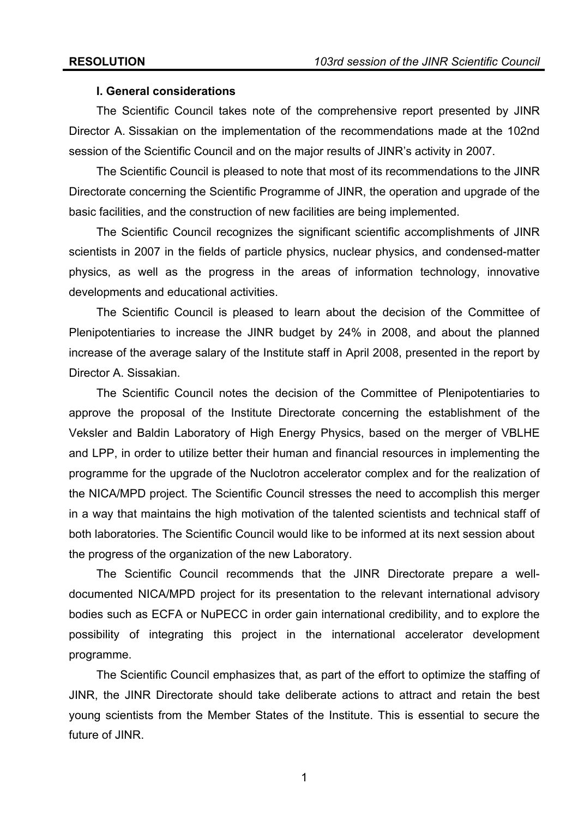## **I. General considerations**

 The Scientific Council takes note of the comprehensive report presented by JINR Director A. Sissakian on the implementation of the recommendations made at the 102nd session of the Scientific Council and on the major results of JINR's activity in 2007.

The Scientific Council is pleased to note that most of its recommendations to the JINR Directorate concerning the Scientific Programme of JINR, the operation and upgrade of the basic facilities, and the construction of new facilities are being implemented.

The Scientific Council recognizes the significant scientific accomplishments of JINR scientists in 2007 in the fields of particle physics, nuclear physics, and condensed-matter physics, as well as the progress in the areas of information technology, innovative developments and educational activities.

The Scientific Council is pleased to learn about the decision of the Committee of Plenipotentiaries to increase the JINR budget by 24% in 2008, and about the planned increase of the average salary of the Institute staff in April 2008, presented in the report by Director A. Sissakian.

The Scientific Council notes the decision of the Committee of Plenipotentiaries to approve the proposal of the Institute Directorate concerning the establishment of the Veksler and Baldin Laboratory of High Energy Physics, based on the merger of VBLHE and LPP, in order to utilize better their human and financial resources in implementing the programme for the upgrade of the Nuclotron accelerator complex and for the realization of the NICA/MPD project. The Scientific Council stresses the need to accomplish this merger in a way that maintains the high motivation of the talented scientists and technical staff of both laboratories. The Scientific Council would like to be informed at its next session about the progress of the organization of the new Laboratory.

The Scientific Council recommends that the JINR Directorate prepare a welldocumented NICA/MPD project for its presentation to the relevant international advisory bodies such as ECFA or NuPECC in order gain international credibility, and to explore the possibility of integrating this project in the international accelerator development programme.

The Scientific Council emphasizes that, as part of the effort to optimize the staffing of JINR, the JINR Directorate should take deliberate actions to attract and retain the best young scientists from the Member States of the Institute. This is essential to secure the future of JINR.

1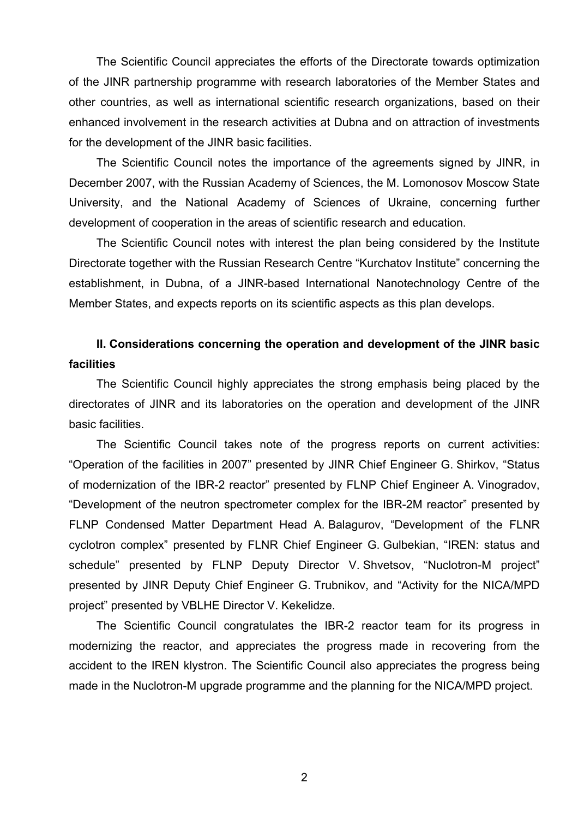The Scientific Council appreciates the efforts of the Directorate towards optimization of the JINR partnership programme with research laboratories of the Member States and other countries, as well as international scientific research organizations, based on their enhanced involvement in the research activities at Dubna and on attraction of investments for the development of the JINR basic facilities.

The Scientific Council notes the importance of the agreements signed by JINR, in December 2007, with the Russian Academy of Sciences, the M. Lomonosov Moscow State University, and the National Academy of Sciences of Ukraine, concerning further development of cooperation in the areas of scientific research and education.

The Scientific Council notes with interest the plan being considered by the Institute Directorate together with the Russian Research Centre "Kurchatov Institute" concerning the establishment, in Dubna, of a JINR-based International Nanotechnology Centre of the Member States, and expects reports on its scientific aspects as this plan develops.

# **II. Considerations concerning the operation and development of the JINR basic facilities**

 The Scientific Council highly appreciates the strong emphasis being placed by the directorates of JINR and its laboratories on the operation and development of the JINR basic facilities.

The Scientific Council takes note of the progress reports on current activities: "Operation of the facilities in 2007" presented by JINR Chief Engineer G. Shirkov, "Status of modernization of the IBR-2 reactor" presented by FLNP Chief Engineer A. Vinogradov, "Development of the neutron spectrometer complex for the IBR-2M reactor" presented by FLNP Condensed Matter Department Head A. Balagurov, "Development of the FLNR cyclotron complex" presented by FLNR Chief Engineer G. Gulbekian, "IREN: status and schedule" presented by FLNP Deputy Director V. Shvetsov, "Nuclotron-M project" presented by JINR Deputy Chief Engineer G. Trubnikov, and "Activity for the NICA/MPD project" presented by VBLHE Director V. Kekelidze.

The Scientific Council congratulates the IBR-2 reactor team for its progress in modernizing the reactor, and appreciates the progress made in recovering from the accident to the IREN klystron. The Scientific Council also appreciates the progress being made in the Nuclotron-M upgrade programme and the planning for the NICA/MPD project.

2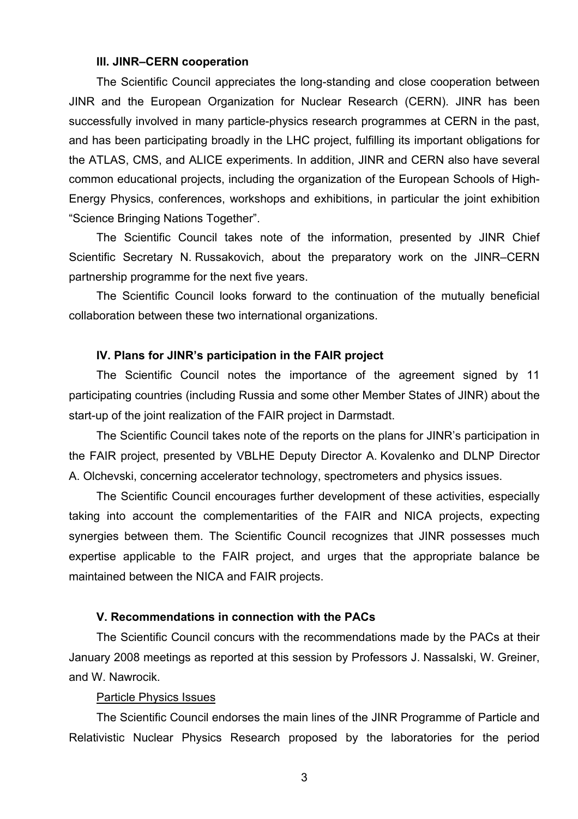#### **III. JINR–CERN cooperation**

The Scientific Council appreciates the long-standing and close cooperation between JINR and the European Organization for Nuclear Research (CERN). JINR has been successfully involved in many particle-physics research programmes at CERN in the past, and has been participating broadly in the LHC project, fulfilling its important obligations for the ATLAS, CMS, and ALICE experiments. In addition, JINR and CERN also have several common educational projects, including the organization of the European Schools of High-Energy Physics, conferences, workshops and exhibitions, in particular the joint exhibition "Science Bringing Nations Together".

The Scientific Council takes note of the information, presented by JINR Chief Scientific Secretary N. Russakovich, about the preparatory work on the JINR–CERN partnership programme for the next five years.

The Scientific Council looks forward to the continuation of the mutually beneficial collaboration between these two international organizations.

#### **IV. Plans for JINR's participation in the FAIR project**

The Scientific Council notes the importance of the agreement signed by 11 participating countries (including Russia and some other Member States of JINR) about the start-up of the joint realization of the FAIR project in Darmstadt.

The Scientific Council takes note of the reports on the plans for JINR's participation in the FAIR project, presented by VBLHE Deputy Director A. Kovalenko and DLNP Director A. Olchevski, concerning accelerator technology, spectrometers and physics issues.

The Scientific Council encourages further development of these activities, especially taking into account the complementarities of the FAIR and NICA projects, expecting synergies between them. The Scientific Council recognizes that JINR possesses much expertise applicable to the FAIR project, and urges that the appropriate balance be maintained between the NICA and FAIR projects.

## **V. Recommendations in connection with the PACs**

The Scientific Council concurs with the recommendations made by the PACs at their January 2008 meetings as reported at this session by Professors J. Nassalski, W. Greiner, and W. Nawrocik.

## Particle Physics Issues

The Scientific Council endorses the main lines of the JINR Programme of Particle and Relativistic Nuclear Physics Research proposed by the laboratories for the period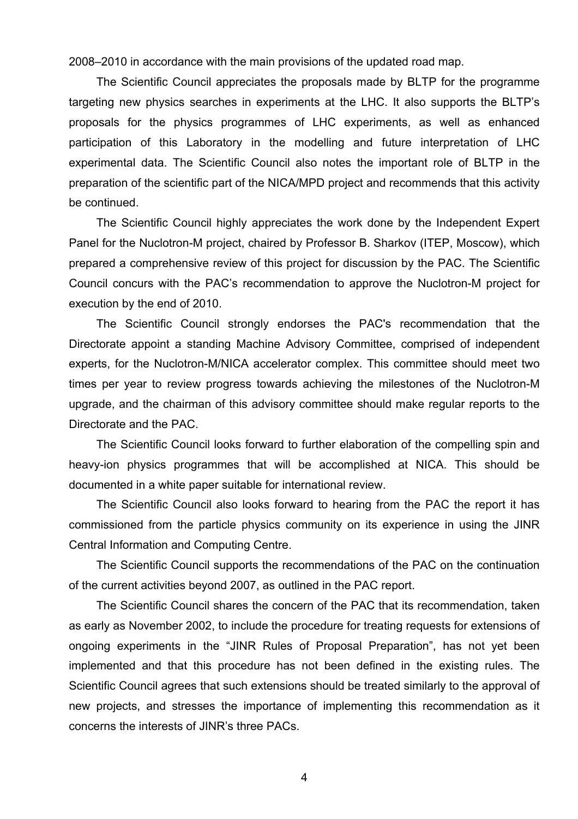2008–2010 in accordance with the main provisions of the updated road map.

The Scientific Council appreciates the proposals made by BLTP for the programme targeting new physics searches in experiments at the LHC. It also supports the BLTP's proposals for the physics programmes of LHC experiments, as well as enhanced participation of this Laboratory in the modelling and future interpretation of LHC experimental data. The Scientific Council also notes the important role of BLTP in the preparation of the scientific part of the NICA/MPD project and recommends that this activity be continued.

 The Scientific Council highly appreciates the work done by the Independent Expert Panel for the Nuclotron-M project, chaired by Professor B. Sharkov (ITEP, Moscow), which prepared a comprehensive review of this project for discussion by the PAC. The Scientific Council concurs with the PAC's recommendation to approve the Nuclotron-M project for execution by the end of 2010.

 The Scientific Council strongly endorses the PAC's recommendation that the Directorate appoint a standing Machine Advisory Committee, comprised of independent experts, for the Nuclotron-M/NICA accelerator complex. This committee should meet two times per year to review progress towards achieving the milestones of the Nuclotron-M upgrade, and the chairman of this advisory committee should make regular reports to the Directorate and the PAC.

The Scientific Council looks forward to further elaboration of the compelling spin and heavy-ion physics programmes that will be accomplished at NICA. This should be documented in a white paper suitable for international review.

 The Scientific Council also looks forward to hearing from the PAC the report it has commissioned from the particle physics community on its experience in using the JINR Central Information and Computing Centre.

The Scientific Council supports the recommendations of the PAC on the continuation of the current activities beyond 2007, as outlined in the PAC report.

The Scientific Council shares the concern of the PAC that its recommendation, taken as early as November 2002, to include the procedure for treating requests for extensions of ongoing experiments in the "JINR Rules of Proposal Preparation", has not yet been implemented and that this procedure has not been defined in the existing rules. The Scientific Council agrees that such extensions should be treated similarly to the approval of new projects, and stresses the importance of implementing this recommendation as it concerns the interests of JINR's three PACs.

4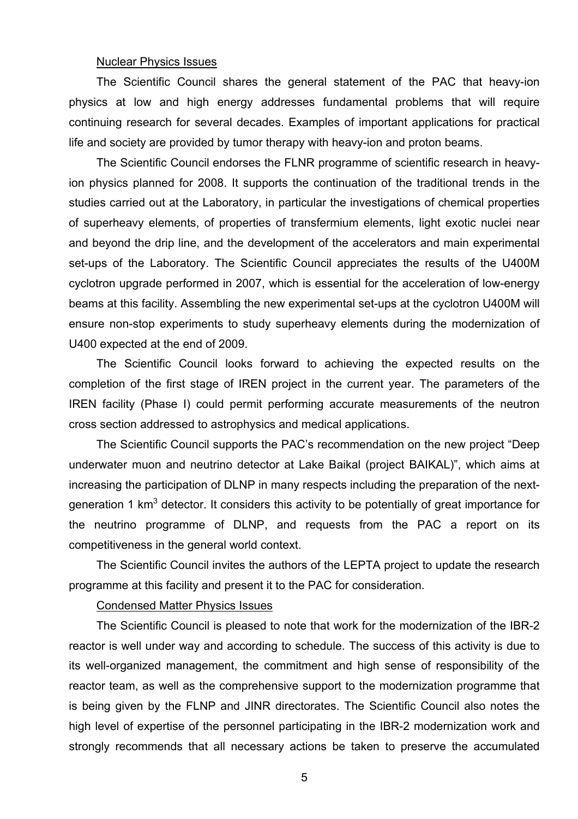## Nuclear Physics Issues

The Scientific Council shares the general statement of the PAC that heavy-ion physics at low and high energy addresses fundamental problems that will require continuing research for several decades. Examples of important applications for practical life and society are provided by tumor therapy with heavy-ion and proton beams.

The Scientific Council endorses the FLNR programme of scientific research in heavyion physics planned for 2008. It supports the continuation of the traditional trends in the studies carried out at the Laboratory, in particular the investigations of chemical properties of superheavy elements, of properties of transfermium elements, light exotic nuclei near and beyond the drip line, and the development of the accelerators and main experimental set-ups of the Laboratory. The Scientific Council appreciates the results of the U400M cyclotron upgrade performed in 2007, which is essential for the acceleration of low-energy beams at this facility. Assembling the new experimental set-ups at the cyclotron U400M will ensure non-stop experiments to study superheavy elements during the modernization of U400 expected at the end of 2009.

The Scientific Council looks forward to achieving the expected results on the completion of the first stage of IREN project in the current year. The parameters of the IREN facility (Phase I) could permit performing accurate measurements of the neutron cross section addressed to astrophysics and medical applications.

The Scientific Council supports the PAC's recommendation on the new project "Deep underwater muon and neutrino detector at Lake Baikal (project BAIKAL)", which aims at increasing the participation of DLNP in many respects including the preparation of the nextgeneration 1 km<sup>3</sup> detector. It considers this activity to be potentially of great importance for the neutrino programme of DLNP, and requests from the PAC a report on its competitiveness in the general world context.

The Scientific Council invites the authors of the LEPTA project to update the research programme at this facility and present it to the PAC for consideration.

#### Condensed Matter Physics Issues

The Scientific Council is pleased to note that work for the modernization of the IBR-2 reactor is well under way and according to schedule. The success of this activity is due to its well-organized management, the commitment and high sense of responsibility of the reactor team, as well as the comprehensive support to the modernization programme that is being given by the FLNP and JINR directorates. The Scientific Council also notes the high level of expertise of the personnel participating in the IBR-2 modernization work and strongly recommends that all necessary actions be taken to preserve the accumulated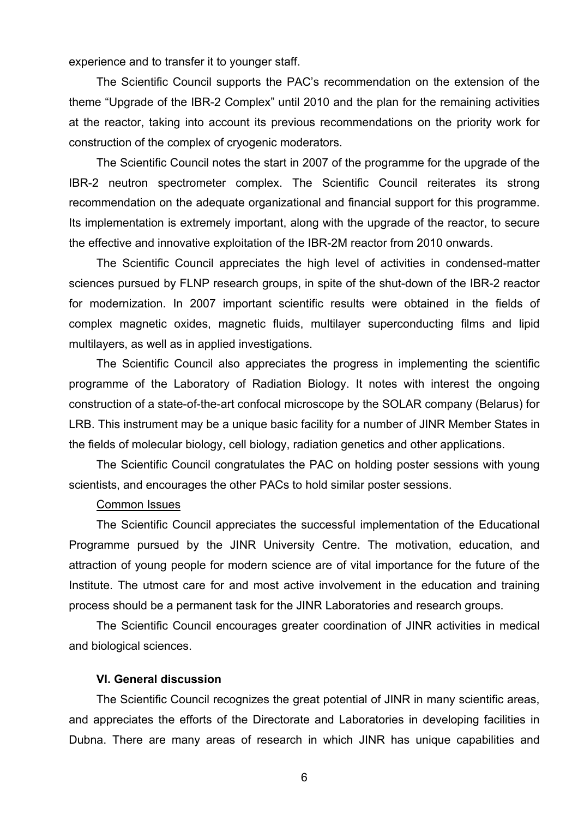experience and to transfer it to younger staff.

The Scientific Council supports the PAC's recommendation on the extension of the theme "Upgrade of the IBR-2 Complex" until 2010 and the plan for the remaining activities at the reactor, taking into account its previous recommendations on the priority work for construction of the complex of cryogenic moderators.

The Scientific Council notes the start in 2007 of the programme for the upgrade of the IBR-2 neutron spectrometer complex. The Scientific Council reiterates its strong recommendation on the adequate organizational and financial support for this programme. Its implementation is extremely important, along with the upgrade of the reactor, to secure the effective and innovative exploitation of the IBR-2M reactor from 2010 onwards.

The Scientific Council appreciates the high level of activities in condensed-matter sciences pursued by FLNP research groups, in spite of the shut-down of the IBR-2 reactor for modernization. In 2007 important scientific results were obtained in the fields of complex magnetic oxides, magnetic fluids, multilayer superconducting films and lipid multilayers, as well as in applied investigations.

The Scientific Council also appreciates the progress in implementing the scientific programme of the Laboratory of Radiation Biology. It notes with interest the ongoing construction of a state-of-the-art confocal microscope by the SOLAR company (Belarus) for LRB. This instrument may be a unique basic facility for a number of JINR Member States in the fields of molecular biology, cell biology, radiation genetics and other applications.

The Scientific Council congratulates the PAC on holding poster sessions with young scientists, and encourages the other PACs to hold similar poster sessions.

#### Common Issues

The Scientific Council appreciates the successful implementation of the Educational Programme pursued by the JINR University Centre. The motivation, education, and attraction of young people for modern science are of vital importance for the future of the Institute. The utmost care for and most active involvement in the education and training process should be a permanent task for the JINR Laboratories and research groups.

 The Scientific Council encourages greater coordination of JINR activities in medical and biological sciences.

#### **VI. General discussion**

The Scientific Council recognizes the great potential of JINR in many scientific areas, and appreciates the efforts of the Directorate and Laboratories in developing facilities in Dubna. There are many areas of research in which JINR has unique capabilities and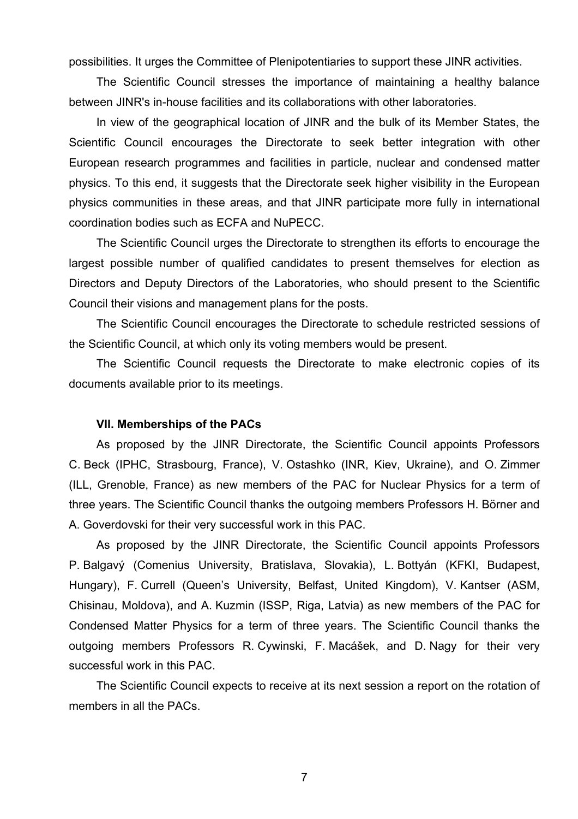possibilities. It urges the Committee of Plenipotentiaries to support these JINR activities.

The Scientific Council stresses the importance of maintaining a healthy balance between JINR's in-house facilities and its collaborations with other laboratories.

In view of the geographical location of JINR and the bulk of its Member States, the Scientific Council encourages the Directorate to seek better integration with other European research programmes and facilities in particle, nuclear and condensed matter physics. To this end, it suggests that the Directorate seek higher visibility in the European physics communities in these areas, and that JINR participate more fully in international coordination bodies such as ECFA and NuPECC.

The Scientific Council urges the Directorate to strengthen its efforts to encourage the largest possible number of qualified candidates to present themselves for election as Directors and Deputy Directors of the Laboratories, who should present to the Scientific Council their visions and management plans for the posts.

The Scientific Council encourages the Directorate to schedule restricted sessions of the Scientific Council, at which only its voting members would be present.

The Scientific Council requests the Directorate to make electronic copies of its documents available prior to its meetings.

## **VII. Memberships of the PACs**

As proposed by the JINR Directorate, the Scientific Council appoints Professors C. Beck (IPHC, Strasbourg, France), V. Ostashko (INR, Kiev, Ukraine), and O. Zimmer (ILL, Grenoble, France) as new members of the PAC for Nuclear Physics for a term of three years. The Scientific Council thanks the outgoing members Professors H. Börner and A. Goverdovski for their very successful work in this PAC.

As proposed by the JINR Directorate, the Scientific Council appoints Professors P. Balgavý (Comenius University, Bratislava, Slovakia), L. Bottyán (KFKI, Budapest, Hungary), F. Currell (Queen's University, Belfast, United Kingdom), V. Kantser (ASM, Chisinau, Moldova), and A. Kuzmin (ISSP, Riga, Latvia) as new members of the PAC for Condensed Matter Physics for a term of three years. The Scientific Council thanks the outgoing members Professors R. Cywinski, F. Macášek, and D. Nagy for their very successful work in this PAC.

The Scientific Council expects to receive at its next session a report on the rotation of members in all the PACs.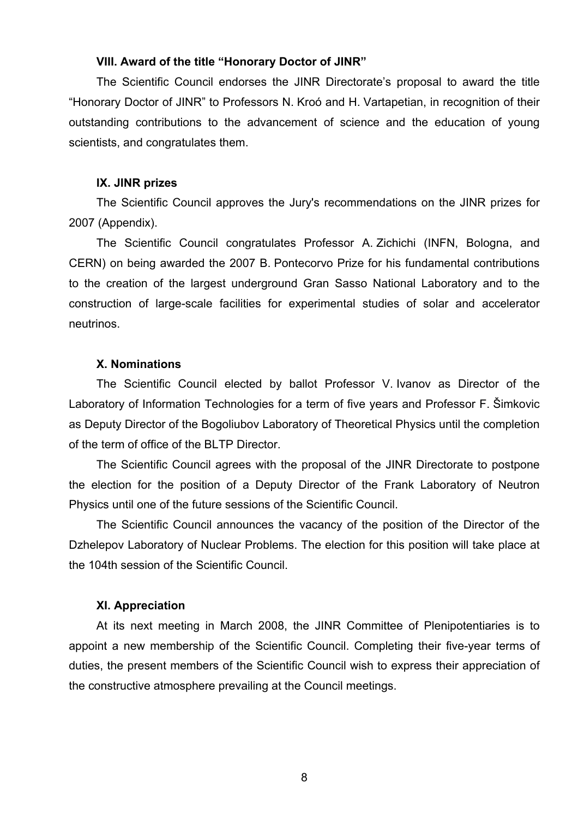## **VIII. Award of the title "Honorary Doctor of JINR"**

The Scientific Council endorses the JINR Directorate's proposal to award the title "Honorary Doctor of JINR" to Professors N. Kroó and H. Vartapetian, in recognition of their outstanding contributions to the advancement of science and the education of young scientists, and congratulates them.

#### **IX. JINR prizes**

The Scientific Council approves the Jury's recommendations on the JINR prizes for 2007 (Appendix).

The Scientific Council congratulates Professor A. Zichichi (INFN, Bologna, and CERN) on being awarded the 2007 B. Pontecorvo Prize for his fundamental contributions to the creation of the largest underground Gran Sasso National Laboratory and to the construction of large-scale facilities for experimental studies of solar and accelerator neutrinos.

## **X. Nominations**

The Scientific Council elected by ballot Professor V. Ivanov as Director of the Laboratory of Information Technologies for a term of five years and Professor F. Šimkovic as Deputy Director of the Bogoliubov Laboratory of Theoretical Physics until the completion of the term of office of the BLTP Director.

The Scientific Council agrees with the proposal of the JINR Directorate to postpone the election for the position of a Deputy Director of the Frank Laboratory of Neutron Physics until one of the future sessions of the Scientific Council.

The Scientific Council announces the vacancy of the position of the Director of the Dzhelepov Laboratory of Nuclear Problems. The election for this position will take place at the 104th session of the Scientific Council.

## **XI. Appreciation**

 At its next meeting in March 2008, the JINR Committee of Plenipotentiaries is to appoint a new membership of the Scientific Council. Completing their five-year terms of duties, the present members of the Scientific Council wish to express their appreciation of the constructive atmosphere prevailing at the Council meetings.